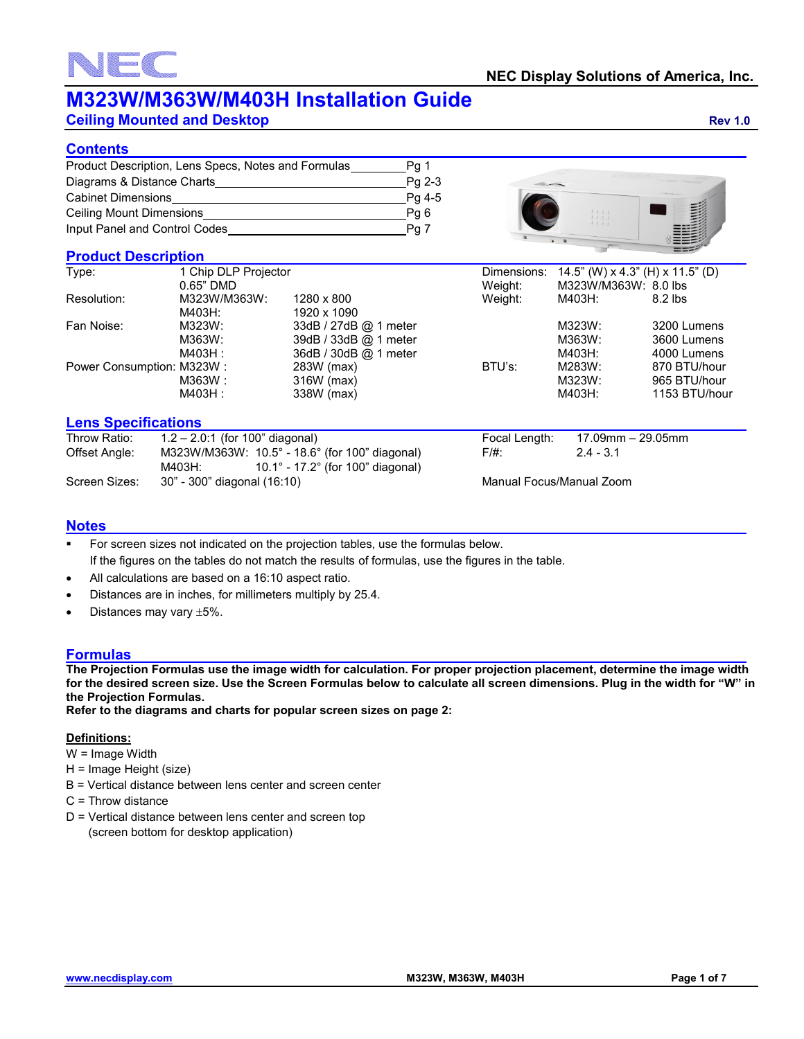**Ceiling Mounted and Desktop <b>Ceiling Mounted and Desktop Rev 1.0** 

#### **Contents**

| Product Description, Lens Specs, Notes and Formulas | Pa 1   |
|-----------------------------------------------------|--------|
| Diagrams & Distance Charts                          | Pa 2-3 |
| Cabinet Dimensions                                  | Pg 4-5 |
| <b>Ceiling Mount Dimensions</b>                     | Pq 6   |
| Input Panel and Control Codes                       | Pg     |

#### **Product Description**

 $\equiv$  (

| <b>Product Description</b>                                                                                                                                                                                                                                                                                                                                                                                                     |                      |                       |             |                      |                                  |
|--------------------------------------------------------------------------------------------------------------------------------------------------------------------------------------------------------------------------------------------------------------------------------------------------------------------------------------------------------------------------------------------------------------------------------|----------------------|-----------------------|-------------|----------------------|----------------------------------|
| Type:                                                                                                                                                                                                                                                                                                                                                                                                                          | 1 Chip DLP Projector |                       | Dimensions: |                      | 14.5" (W) x 4.3" (H) x 11.5" (D) |
|                                                                                                                                                                                                                                                                                                                                                                                                                                | $0.65"$ DMD          |                       | Weight:     | M323W/M363W: 8.0 lbs |                                  |
| Resolution:                                                                                                                                                                                                                                                                                                                                                                                                                    | M323W/M363W:         | 1280 x 800            | Weight:     | M403H:               | $8.2$ lbs                        |
|                                                                                                                                                                                                                                                                                                                                                                                                                                | M403H:               | 1920 x 1090           |             |                      |                                  |
| Fan Noise:                                                                                                                                                                                                                                                                                                                                                                                                                     | M323W:               | 33dB / 27dB @ 1 meter |             | M323W:               | 3200 Lumens                      |
|                                                                                                                                                                                                                                                                                                                                                                                                                                | M363W:               | 39dB / 33dB @ 1 meter |             | M363W:               | 3600 Lumens                      |
|                                                                                                                                                                                                                                                                                                                                                                                                                                | M403H :              | 36dB / 30dB @ 1 meter |             | M403H:               | 4000 Lumens                      |
| Power Consumption: M323W:                                                                                                                                                                                                                                                                                                                                                                                                      |                      | 283W (max)            | BTU's:      | M283W:               | 870 BTU/hour                     |
|                                                                                                                                                                                                                                                                                                                                                                                                                                | M363W :              | 316W (max)            |             | M323W:               | 965 BTU/hour                     |
|                                                                                                                                                                                                                                                                                                                                                                                                                                | M403H :              | 338W (max)            |             | M403H:               | 1153 BTU/hour                    |
|                                                                                                                                                                                                                                                                                                                                                                                                                                |                      |                       |             |                      |                                  |
| $\mathbf{r}$ . The set of $\mathbf{r}$<br>$\overline{1}$ $\overline{2}$ $\overline{1}$ $\overline{1}$ $\overline{1}$ $\overline{1}$ $\overline{1}$ $\overline{1}$ $\overline{1}$ $\overline{1}$ $\overline{1}$ $\overline{1}$ $\overline{1}$ $\overline{1}$ $\overline{1}$ $\overline{1}$ $\overline{1}$ $\overline{1}$ $\overline{1}$ $\overline{1}$ $\overline{1}$ $\overline{1}$ $\overline{1}$ $\overline{1}$ $\overline{$ |                      |                       |             |                      |                                  |

#### **Lens Specifications**

| Throw Ratio:  | $1.2 - 2.0:1$ (for 100" diagonal)                               |          | Focal Length:            | 17.09mm – 29.05mm |
|---------------|-----------------------------------------------------------------|----------|--------------------------|-------------------|
| Offset Angle: | M323W/M363W: $10.5^{\circ}$ - 18.6° (for 100" diagonal)         | $F/\#$ : |                          | $2.4 - 3.1$       |
|               | 10.1 $^{\circ}$ - 17.2 $^{\circ}$ (for 100" diagonal)<br>M403H: |          |                          |                   |
| Screen Sizes: | 30" - 300" diagonal (16:10)                                     |          | Manual Focus/Manual Zoom |                   |

#### **Notes**

- For screen sizes not indicated on the projection tables, use the formulas below. If the figures on the tables do not match the results of formulas, use the figures in the table.
- All calculations are based on a 16:10 aspect ratio.
- Distances are in inches, for millimeters multiply by 25.4.
- Distances may vary  $\pm 5\%$ .

#### **Formulas**

**The Projection Formulas use the image width for calculation. For proper projection placement, determine the image width for the desired screen size. Use the Screen Formulas below to calculate all screen dimensions. Plug in the width for "W" in the Projection Formulas.**

**Refer to the diagrams and charts for popular screen sizes on page 2:**

#### **Definitions:**

- W = Image Width
- H = Image Height (size)
- B = Vertical distance between lens center and screen center
- C = Throw distance
- D = Vertical distance between lens center and screen top (screen bottom for desktop application)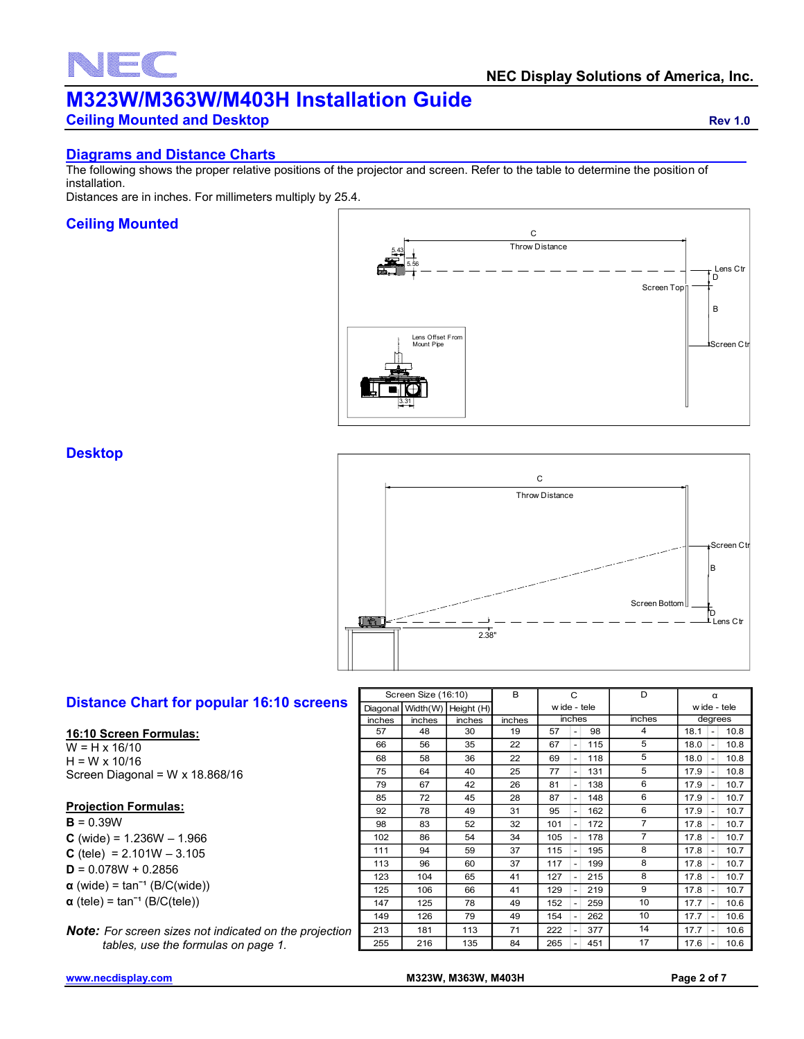# $\overline{\phantom{0}}$

## **M323W/M363W/M403H Installation Guide**

**Ceiling Mounted and Desktop <b>Ceiling Mounted and Desktop Rev 1.0** 

#### **Diagrams and Distance Charts**

The following shows the proper relative positions of the projector and screen. Refer to the table to determine the position of installation.

Distances are in inches. For millimeters multiply by 25.4.

#### **Ceiling Mounted**



**Desktop**



#### **Distance Chart for popular 16:10 screens**

#### **16:10 Screen Formulas:**

W = H x 16/10  $H = W \times 10/16$ Screen Diagonal = W x 18.868/16

#### **Projection Formulas:**

**B** = 0.39W **C** (wide) =  $1.236W - 1.966$  $C$  (tele) = 2.101W  $-$  3.105 **D** = 0.078W + 0.2856  $\alpha$  (wide) = tan<sup>-1</sup> (B/C(wide)) **α** (tele) = tanˉ¹ (B/C(tele))

*Note: For screen sizes not indicated on the projection tables, use the formulas on page 1.*

|          | Screen Size (16:10) | B             | С      |        | D                        | α   |                |                                          |
|----------|---------------------|---------------|--------|--------|--------------------------|-----|----------------|------------------------------------------|
| Diagonal | Width(W)            | Height (H)    |        |        | wide - tele              |     |                | wide - tele                              |
| inches   | inches              | <i>inches</i> | inches | inches |                          |     | inches         | degrees                                  |
| 57       | 48                  | 30            | 19     | 57     | $\overline{a}$           | 98  | 4              | 18.1<br>10.8<br>$\overline{a}$           |
| 66       | 56                  | 35            | 22     | 67     | $\overline{a}$           | 115 | 5              | 18.0<br>10.8<br>$\overline{\phantom{a}}$ |
| 68       | 58                  | 36            | 22     | 69     | $\overline{\phantom{a}}$ | 118 | 5              | 18.0<br>10.8<br>$\overline{\phantom{a}}$ |
| 75       | 64                  | 40            | 25     | 77     | -                        | 131 | 5              | 17.9<br>10.8<br>-                        |
| 79       | 67                  | 42            | 26     | 81     | $\overline{a}$           | 138 | 6              | 17.9<br>10.7                             |
| 85       | 72                  | 45            | 28     | 87     | -                        | 148 | 6              | 17.9<br>10.7                             |
| 92       | 78                  | 49            | 31     | 95     | $\overline{a}$           | 162 | 6              | 17.9<br>10.7                             |
| 98       | 83                  | 52            | 32     | 101    | $\overline{a}$           | 172 | $\overline{7}$ | 17.8<br>10.7                             |
| 102      | 86                  | 54            | 34     | 105    | $\overline{\phantom{0}}$ | 178 | $\overline{7}$ | 10.7<br>17.8<br>$\overline{a}$           |
| 111      | 94                  | 59            | 37     | 115    | $\overline{a}$           | 195 | 8              | 17.8<br>10.7                             |
| 113      | 96                  | 60            | 37     | 117    | $\overline{a}$           | 199 | 8              | 17.8<br>10.7<br>$\overline{\phantom{a}}$ |
| 123      | 104                 | 65            | 41     | 127    |                          | 215 | 8              | 17.8<br>10.7                             |
| 125      | 106                 | 66            | 41     | 129    | $\overline{a}$           | 219 | 9              | 17.8<br>10.7                             |
| 147      | 125                 | 78            | 49     | 152    | $\overline{\phantom{a}}$ | 259 | 10             | 10.6<br>17.7                             |
| 149      | 126                 | 79            | 49     | 154    | $\overline{a}$           | 262 | 10             | 17.7<br>10.6<br>$\overline{\phantom{a}}$ |
| 213      | 181                 | 113           | 71     | 222    |                          | 377 | 14             | 17.7<br>10.6                             |
| 255      | 216                 | 135           | 84     | 265    |                          | 451 | 17             | 17.6<br>10.6                             |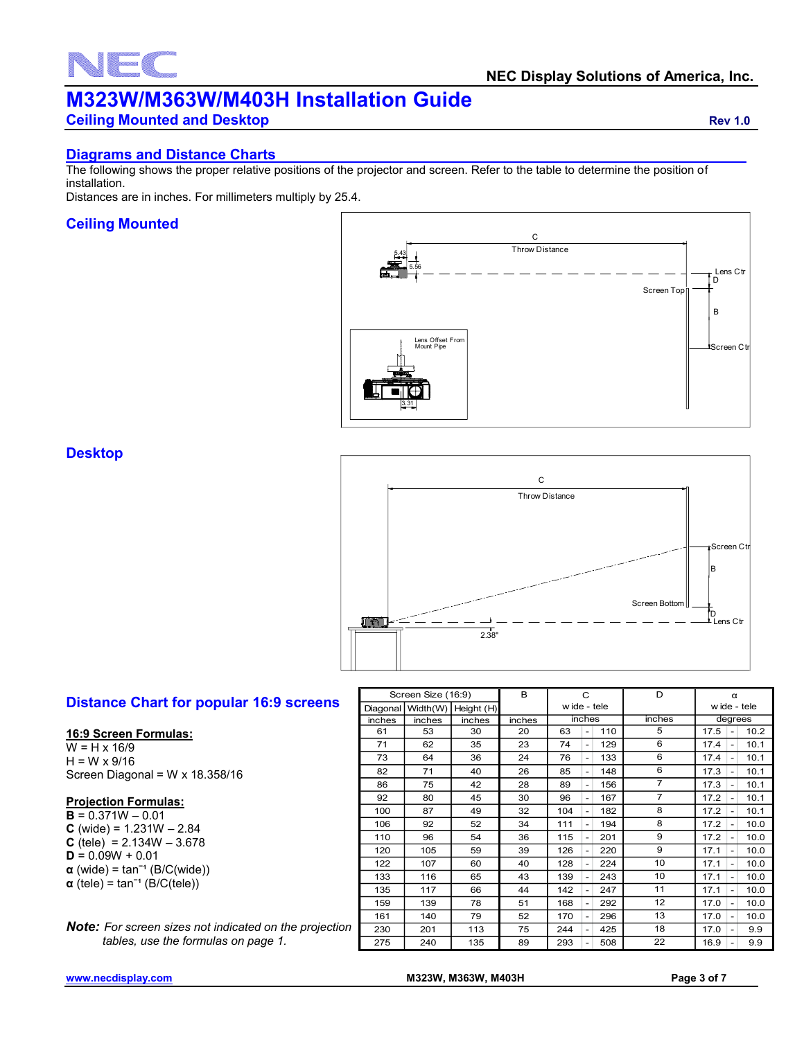# $\overline{\phantom{0}}$

## **M323W/M363W/M403H Installation Guide**

**Ceiling Mounted and Desktop <b>Ceiling Mounted and Desktop Rev 1.0** 

#### **Diagrams and Distance Charts**

The following shows the proper relative positions of the projector and screen. Refer to the table to determine the position of installation.

Distances are in inches. For millimeters multiply by 25.4.

#### **Ceiling Mounted**



**Desktop**



#### **Distance Chart for popular 16:9 screens**

#### **16:9 Screen Formulas:**

W = H x 16/9  $H = W \times 9/16$ Screen Diagonal = W x 18.358/16

#### **Projection Formulas:**

**B** = 0.371W – 0.01 **C** (wide) =  $1.231W - 2.84$ **C** (tele) =  $2.134W - 3.678$  $D = 0.09W + 0.01$  $\alpha$  (wide) = tan<sup>-1</sup> (B/C(wide))  $\alpha$  (tele) = tan<sup>-1</sup> (B/C(tele))

*Note: For screen sizes not indicated on the projection tables, use the formulas on page 1.*

| $\Box$ if $\Box$ | в<br>Screen Bottom II<br>'D<br>Lens Ctr<br>2.38" |            |        |              |                          |     |                |                                  |      |
|------------------|--------------------------------------------------|------------|--------|--------------|--------------------------|-----|----------------|----------------------------------|------|
|                  | Screen Size (16:9)                               |            | B      |              | C                        |     | D              | α                                |      |
| Diagonal         | Width(W)                                         | Height (H) |        | w ide - tele |                          |     |                | w ide - tele                     |      |
| inches           | inches                                           | inches     | inches |              | inches                   |     | inches         | degrees                          |      |
| 61               | 53                                               | 30         | 20     | 63           | $\overline{\phantom{0}}$ | 110 | 5              | 17.5<br>$\overline{a}$           | 10.2 |
| 71               | 62                                               | 35         | 23     | 74           | $\overline{a}$           | 129 | 6              | 17.4                             | 10.1 |
| 73               | 64                                               | 36         | 24     | 76           |                          | 133 | 6              | 17.4                             | 10.1 |
| 82               | 71                                               | 40         | 26     | 85           | $\overline{a}$           | 148 | 6              | 17.3                             | 10.1 |
| 86               | 75                                               | 42         | 28     | 89           |                          | 156 | $\overline{7}$ | 17.3                             | 10.1 |
| 92               | 80                                               | 45         | 30     | 96           | $\overline{a}$           | 167 | $\overline{7}$ | 17.2                             | 10.1 |
| 100              | 87                                               | 49         | 32     | 104          |                          | 182 | 8              | 17.2                             | 10.1 |
| 106              | 92                                               | 52         | 34     | 111          |                          | 194 | 8              | 17.2                             | 10.0 |
| 110              | 96                                               | 54         | 36     | 115          |                          | 201 | 9              | 17.2                             | 10.0 |
| 120              | 105                                              | 59         | 39     | 126          |                          | 220 | 9              | 17.1                             | 10.0 |
| 122              | 107                                              | 60         | 40     | 128          | $\overline{\phantom{0}}$ | 224 | 10             | 17.1                             | 10.0 |
| 133              | 116                                              | 65         | 43     | 139          |                          | 243 | 10             | 17.1                             | 10.0 |
| 135              | 117                                              | 66         | 44     | 142          |                          | 247 | 11             | 17.1                             | 10.0 |
| 159              | 139                                              | 78         | 51     | 168          |                          | 292 | 12             | 17.0                             | 10.0 |
| 161              | 140                                              | 79         | 52     | 170          |                          | 296 | 13             | 17.0                             | 10.0 |
| 230              | 201                                              | 113        | 75     | 244          |                          | 425 | 18             | 17.0                             | 9.9  |
| 275              | 240                                              | 135        | 89     | 293          | $\overline{\phantom{0}}$ | 508 | 22             | 16.9<br>$\overline{\phantom{a}}$ | 9.9  |

**[www.necdisplay.com](http://www.necdisplay.com/) M323W, M363W, M403H Page 3 of 7**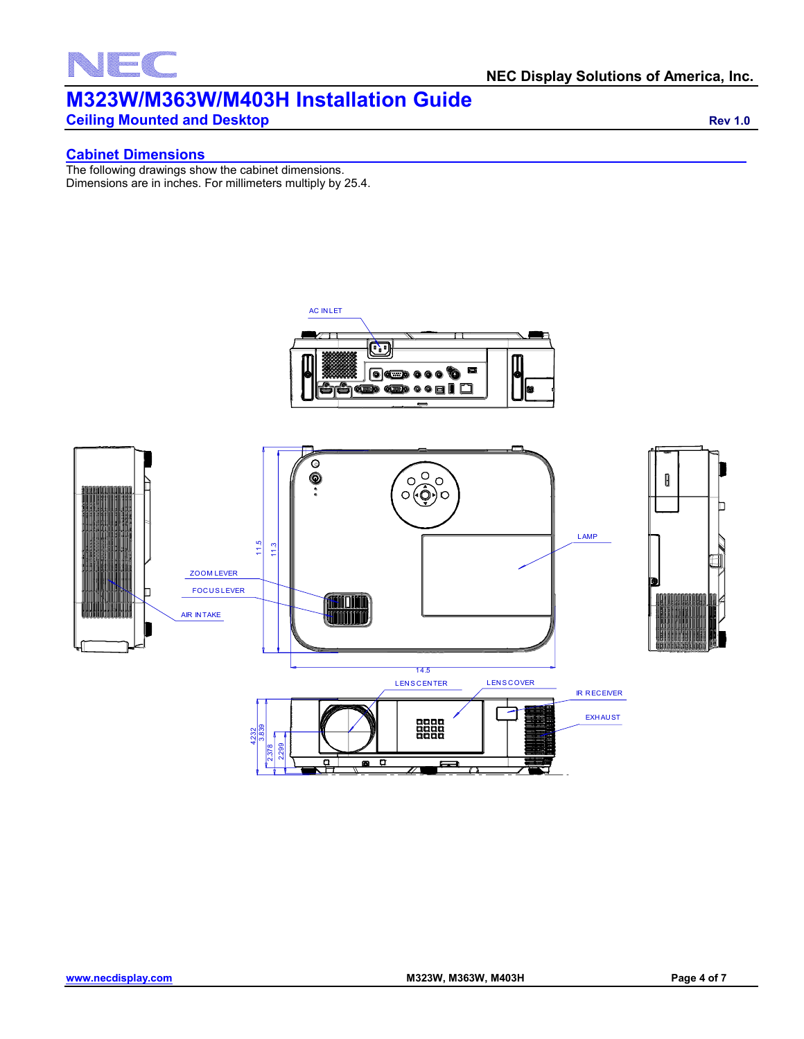

**Ceiling Mounted and Desktop <b>Ceiling Mounted and Desktop Rev 1.0** 

#### **Cabinet Dimensions**

The following drawings show the cabinet dimensions. Dimensions are in inches. For millimeters multiply by 25.4.

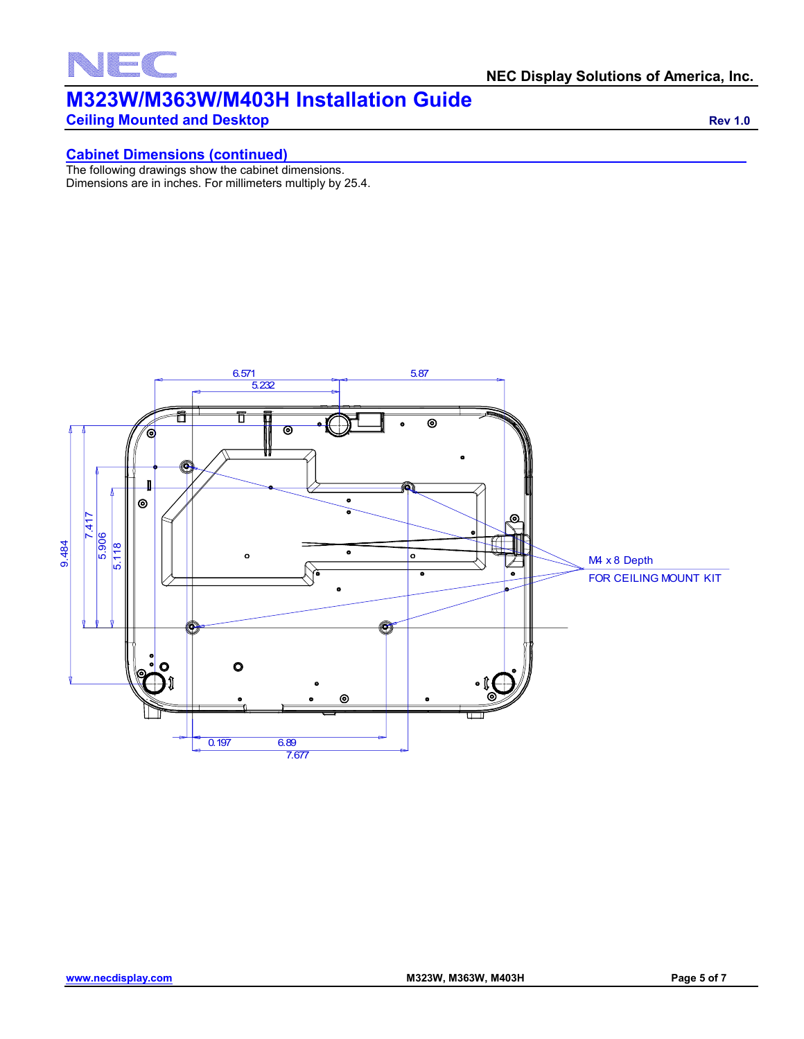

**Ceiling Mounted and Desktop <b>Ceiling Mounted and Desktop** *Rev 1.0* 

#### **Cabinet Dimensions (continued)**

The following drawings show the cabinet dimensions. Dimensions are in inches. For millimeters multiply by 25.4.

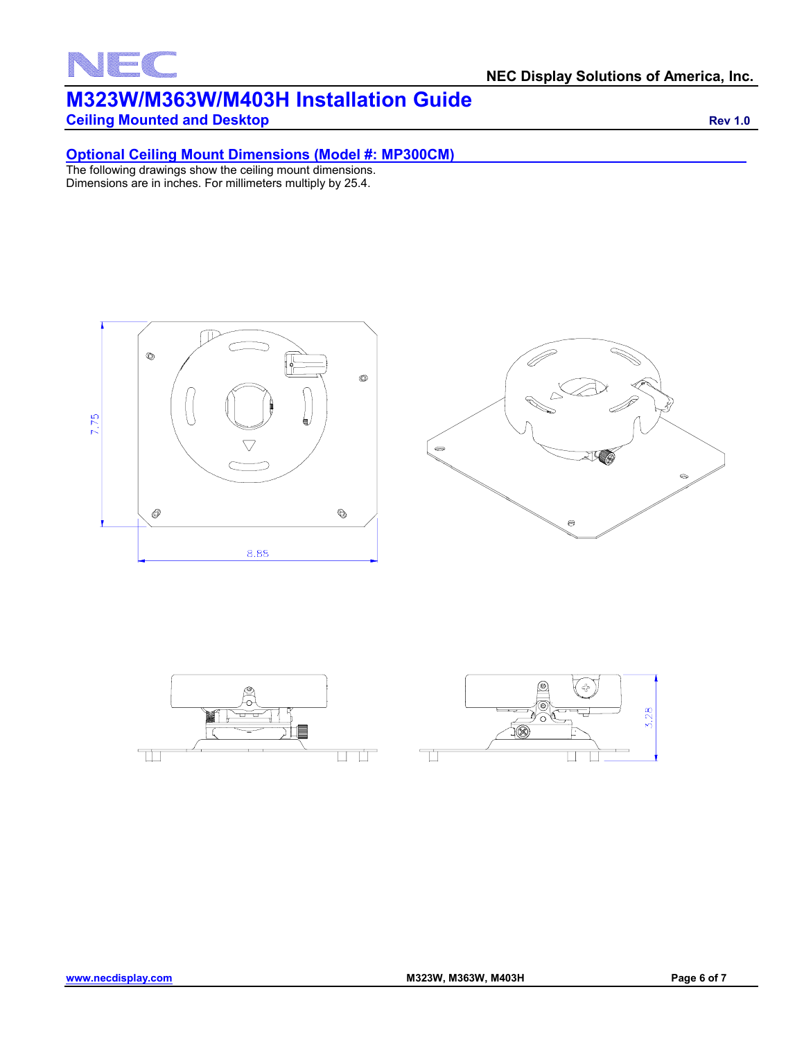### F **Sail**

#### **NEC Display Solutions of America, Inc.**

## **M323W/M363W/M403H Installation Guide**

**Ceiling Mounted and Desktop <b>Ceiling Mounted and Desktop** *Rev 1.0* 

#### **Optional Ceiling Mount Dimensions (Model #: MP300CM)**

The following drawings show the ceiling mount dimensions. Dimensions are in inches. For millimeters multiply by 25.4.